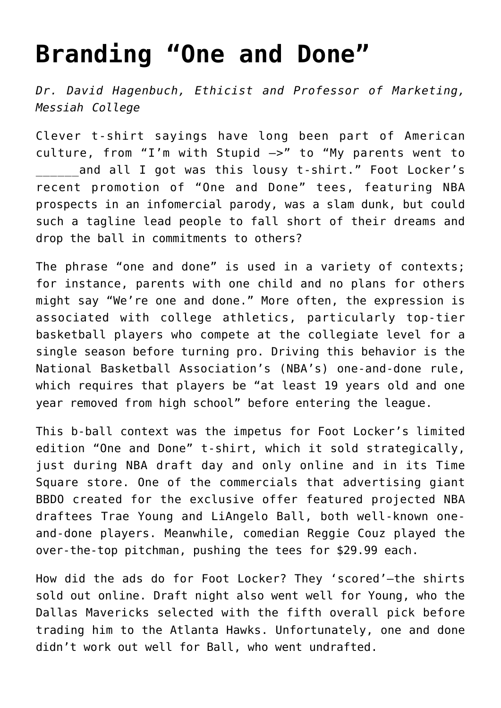## **[Branding "One and Done"](https://www.commpro.biz/branding-one-and-done/)**

*Dr. David Hagenbuch, Ethicist and Professor of Marketing, [Messiah College](https://www.messiah.edu/)*

Clever t-shirt sayings have long been part of American culture, from "I'm with Stupid –>" to "My parents went to and all I got was this lousy t-shirt." Foot Locker's recent promotion of "One and Done" tees, featuring NBA prospects in an infomercial parody, was a slam dunk, but could such a tagline lead people to fall short of their dreams and drop the ball in commitments to others?

The phrase "one and done" is used in a variety of contexts; for instance, parents with one child and no plans for others might say "We're one and done." More often, the expression is associated with college athletics, particularly top-tier basketball players who compete at the collegiate level for a single season before turning pro. Driving this behavior is the National Basketball Association's (NBA's) one-and-done rule, which requires that players be "at least 19 years old and one year removed from high school" before entering the league.

This b-ball context was the impetus for Foot Locker's limited edition "One and Done" t-shirt, which it sold strategically, just during NBA draft day and only online and in its Time Square store. One of the commercials that advertising giant BBDO created for the exclusive offer featured projected NBA draftees Trae Young and LiAngelo Ball, both well-known oneand-done players. Meanwhile, comedian Reggie Couz played the over-the-top pitchman, pushing the tees for \$29.99 each.

How did the ads do for Foot Locker? They 'scored'—the shirts sold out online. Draft night also went well for Young, who the Dallas Mavericks selected with the fifth overall pick before trading him to the Atlanta Hawks. Unfortunately, one and done didn't work out well for Ball, who went undrafted.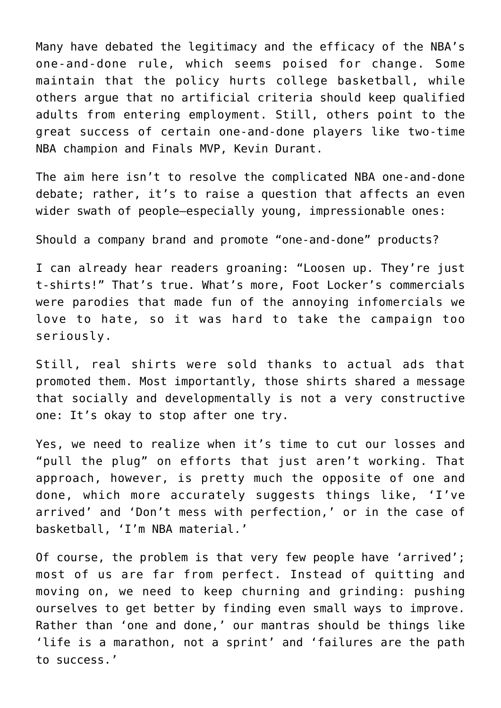Many have debated the legitimacy and the efficacy of the NBA's one-and-done rule, which seems poised for change. Some maintain that the policy hurts college basketball, while others argue that no artificial criteria should keep qualified adults from entering employment. Still, others point to the great success of certain one-and-done players like two-time NBA champion and Finals MVP, Kevin Durant.

The aim here isn't to resolve the complicated NBA one-and-done debate; rather, it's to raise a question that affects an even wider swath of people—especially young, impressionable ones:

Should a company brand and promote "one-and-done" products?

I can already hear readers groaning: "Loosen up. They're just t-shirts!" That's true. What's more, Foot Locker's commercials were parodies that made fun of the annoying infomercials we love to hate, so it was hard to take the campaign too seriously.

Still, real shirts were sold thanks to actual ads that promoted them. Most importantly, those shirts shared a message that socially and developmentally is not a very constructive one: It's okay to stop after one try.

Yes, we need to realize when it's time to cut our losses and "pull the plug" on efforts that just aren't working. That approach, however, is pretty much the opposite of one and done, which more accurately suggests things like, 'I've arrived' and 'Don't mess with perfection,' or in the case of basketball, 'I'm NBA material.'

Of course, the problem is that very few people have 'arrived'; most of us are far from perfect. Instead of quitting and moving on, we need to keep churning and grinding: pushing ourselves to get better by finding even small ways to improve. Rather than 'one and done,' our mantras should be things like 'life is a marathon, not a sprint' and 'failures are the path to success.'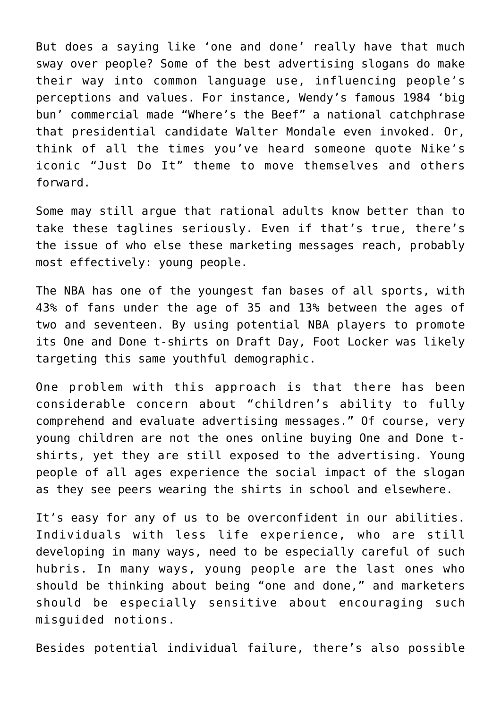But does a saying like 'one and done' really have that much sway over people? Some of the best advertising slogans do make their way into common language use, influencing people's perceptions and values. For instance, Wendy's famous 1984 'big bun' commercial made "Where's the Beef" a national catchphrase that presidential candidate Walter Mondale even invoked. Or, think of all the times you've heard someone quote Nike's iconic "Just Do It" theme to move themselves and others forward.

Some may still argue that rational adults know better than to take these taglines seriously. Even if that's true, there's the issue of who else these marketing messages reach, probably most effectively: young people.

The NBA has one of the youngest fan bases of all sports, with 43% of fans under the age of 35 and 13% between the ages of two and seventeen. By using potential NBA players to promote its One and Done t-shirts on Draft Day, Foot Locker was likely targeting this same youthful demographic.

One problem with this approach is that there has been considerable concern about "children's ability to fully comprehend and evaluate advertising messages." Of course, very young children are not the ones online buying One and Done tshirts, yet they are still exposed to the advertising. Young people of all ages experience the social impact of the slogan as they see peers wearing the shirts in school and elsewhere.

It's easy for any of us to be overconfident in our abilities. Individuals with less life experience, who are still developing in many ways, need to be especially careful of such hubris. In many ways, young people are the last ones who should be thinking about being "one and done," and marketers should be especially sensitive about encouraging such misguided notions.

Besides potential individual failure, there's also possible